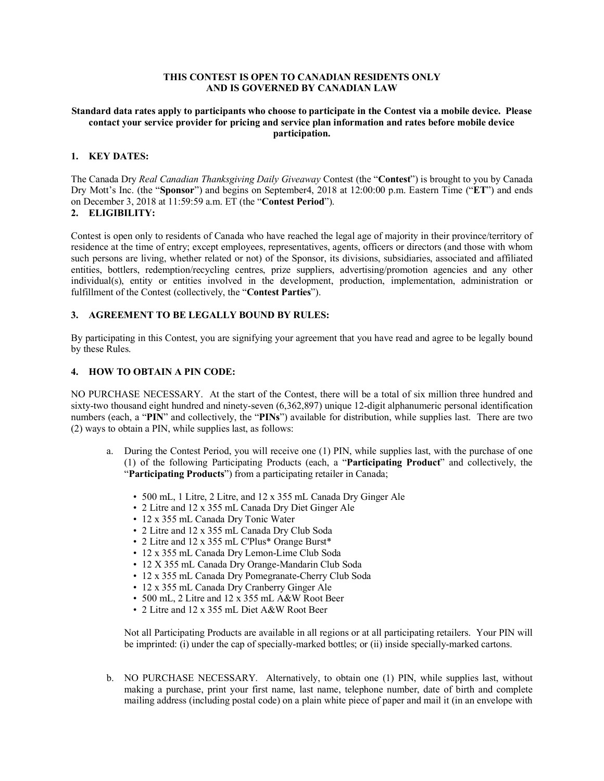# **THIS CONTEST IS OPEN TO CANADIAN RESIDENTS ONLY AND IS GOVERNED BY CANADIAN LAW**

#### **Standard data rates apply to participants who choose to participate in the Contest via a mobile device. Please contact your service provider for pricing and service plan information and rates before mobile device participation.**

# **1. KEY DATES:**

The Canada Dry *Real Canadian Thanksgiving Daily Giveaway* Contest (the "**Contest**") is brought to you by Canada Dry Mott's Inc. (the "**Sponsor**") and begins on September4, 2018 at 12:00:00 p.m. Eastern Time ("**ET**") and ends on December 3, 2018 at 11:59:59 a.m. ET (the "**Contest Period**").

# **2. ELIGIBILITY:**

Contest is open only to residents of Canada who have reached the legal age of majority in their province/territory of residence at the time of entry; except employees, representatives, agents, officers or directors (and those with whom such persons are living, whether related or not) of the Sponsor, its divisions, subsidiaries, associated and affiliated entities, bottlers, redemption/recycling centres, prize suppliers, advertising/promotion agencies and any other individual(s), entity or entities involved in the development, production, implementation, administration or fulfillment of the Contest (collectively, the "**Contest Parties**").

# **3. AGREEMENT TO BE LEGALLY BOUND BY RULES:**

By participating in this Contest, you are signifying your agreement that you have read and agree to be legally bound by these Rules.

## **4. HOW TO OBTAIN A PIN CODE:**

NO PURCHASE NECESSARY. At the start of the Contest, there will be a total of six million three hundred and sixty-two thousand eight hundred and ninety-seven (6,362,897) unique 12-digit alphanumeric personal identification numbers (each, a "**PIN**" and collectively, the "**PINs**") available for distribution, while supplies last. There are two (2) ways to obtain a PIN, while supplies last, as follows:

- a. During the Contest Period, you will receive one (1) PIN, while supplies last, with the purchase of one (1) of the following Participating Products (each, a "**Participating Product**" and collectively, the "**Participating Products**") from a participating retailer in Canada;
	- 500 mL, 1 Litre, 2 Litre, and 12 x 355 mL Canada Dry Ginger Ale
	- 2 Litre and 12 x 355 mL Canada Dry Diet Ginger Ale
	- 12 x 355 mL Canada Dry Tonic Water
	- 2 Litre and 12 x 355 mL Canada Dry Club Soda
	- 2 Litre and 12 x 355 mL C'Plus\* Orange Burst\*
	- 12 x 355 mL Canada Dry Lemon-Lime Club Soda
	- 12 X 355 mL Canada Dry Orange-Mandarin Club Soda
	- 12 x 355 mL Canada Dry Pomegranate-Cherry Club Soda
	- 12 x 355 mL Canada Dry Cranberry Ginger Ale
	- 500 mL, 2 Litre and 12 x 355 mL A&W Root Beer
	- 2 Litre and 12 x 355 mL Diet A&W Root Beer

Not all Participating Products are available in all regions or at all participating retailers. Your PIN will be imprinted: (i) under the cap of specially-marked bottles; or (ii) inside specially-marked cartons.

b. NO PURCHASE NECESSARY. Alternatively, to obtain one (1) PIN, while supplies last, without making a purchase, print your first name, last name, telephone number, date of birth and complete mailing address (including postal code) on a plain white piece of paper and mail it (in an envelope with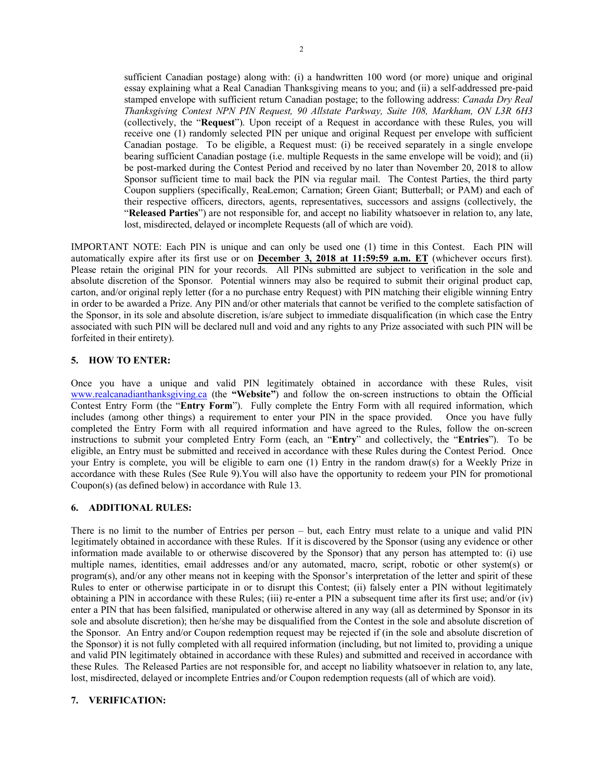sufficient Canadian postage) along with: (i) a handwritten 100 word (or more) unique and original essay explaining what a Real Canadian Thanksgiving means to you; and (ii) a self-addressed pre-paid stamped envelope with sufficient return Canadian postage; to the following address: *Canada Dry Real Thanksgiving Contest NPN PIN Request, 90 Allstate Parkway, Suite 108, Markham, ON L3R 6H3*  (collectively, the "**Request**"). Upon receipt of a Request in accordance with these Rules, you will receive one (1) randomly selected PIN per unique and original Request per envelope with sufficient Canadian postage. To be eligible, a Request must: (i) be received separately in a single envelope bearing sufficient Canadian postage (i.e. multiple Requests in the same envelope will be void); and (ii) be post-marked during the Contest Period and received by no later than November 20, 2018 to allow Sponsor sufficient time to mail back the PIN via regular mail. The Contest Parties, the third party Coupon suppliers (specifically, ReaLemon; Carnation; Green Giant; Butterball; or PAM) and each of their respective officers, directors, agents, representatives, successors and assigns (collectively, the "**Released Parties**") are not responsible for, and accept no liability whatsoever in relation to, any late, lost, misdirected, delayed or incomplete Requests (all of which are void).

IMPORTANT NOTE: Each PIN is unique and can only be used one (1) time in this Contest. Each PIN will automatically expire after its first use or on **December 3, 2018 at 11:59:59 a.m. ET** (whichever occurs first). Please retain the original PIN for your records. All PINs submitted are subject to verification in the sole and absolute discretion of the Sponsor. Potential winners may also be required to submit their original product cap, carton, and/or original reply letter (for a no purchase entry Request) with PIN matching their eligible winning Entry in order to be awarded a Prize. Any PIN and/or other materials that cannot be verified to the complete satisfaction of the Sponsor, in its sole and absolute discretion, is/are subject to immediate disqualification (in which case the Entry associated with such PIN will be declared null and void and any rights to any Prize associated with such PIN will be forfeited in their entirety).

#### **5. HOW TO ENTER:**

Once you have a unique and valid PIN legitimately obtained in accordance with these Rules, visit www.realcanadianthanksgiving.ca (the **"Website"**) and follow the on-screen instructions to obtain the Official Contest Entry Form (the "**Entry Form**"). Fully complete the Entry Form with all required information, which includes (among other things) a requirement to enter your PIN in the space provided. Once you have fully completed the Entry Form with all required information and have agreed to the Rules, follow the on-screen instructions to submit your completed Entry Form (each, an "**Entry**" and collectively, the "**Entries**"). To be eligible, an Entry must be submitted and received in accordance with these Rules during the Contest Period. Once your Entry is complete, you will be eligible to earn one (1) Entry in the random draw(s) for a Weekly Prize in accordance with these Rules (See Rule 9).You will also have the opportunity to redeem your PIN for promotional Coupon(s) (as defined below) in accordance with Rule 13.

#### **6. ADDITIONAL RULES:**

There is no limit to the number of Entries per person – but, each Entry must relate to a unique and valid PIN legitimately obtained in accordance with these Rules. If it is discovered by the Sponsor (using any evidence or other information made available to or otherwise discovered by the Sponsor) that any person has attempted to: (i) use multiple names, identities, email addresses and/or any automated, macro, script, robotic or other system(s) or program(s), and/or any other means not in keeping with the Sponsor's interpretation of the letter and spirit of these Rules to enter or otherwise participate in or to disrupt this Contest; (ii) falsely enter a PIN without legitimately obtaining a PIN in accordance with these Rules; (iii) re-enter a PIN a subsequent time after its first use; and/or (iv) enter a PIN that has been falsified, manipulated or otherwise altered in any way (all as determined by Sponsor in its sole and absolute discretion); then he/she may be disqualified from the Contest in the sole and absolute discretion of the Sponsor. An Entry and/or Coupon redemption request may be rejected if (in the sole and absolute discretion of the Sponsor) it is not fully completed with all required information (including, but not limited to, providing a unique and valid PIN legitimately obtained in accordance with these Rules) and submitted and received in accordance with these Rules. The Released Parties are not responsible for, and accept no liability whatsoever in relation to, any late, lost, misdirected, delayed or incomplete Entries and/or Coupon redemption requests (all of which are void).

## **7. VERIFICATION:**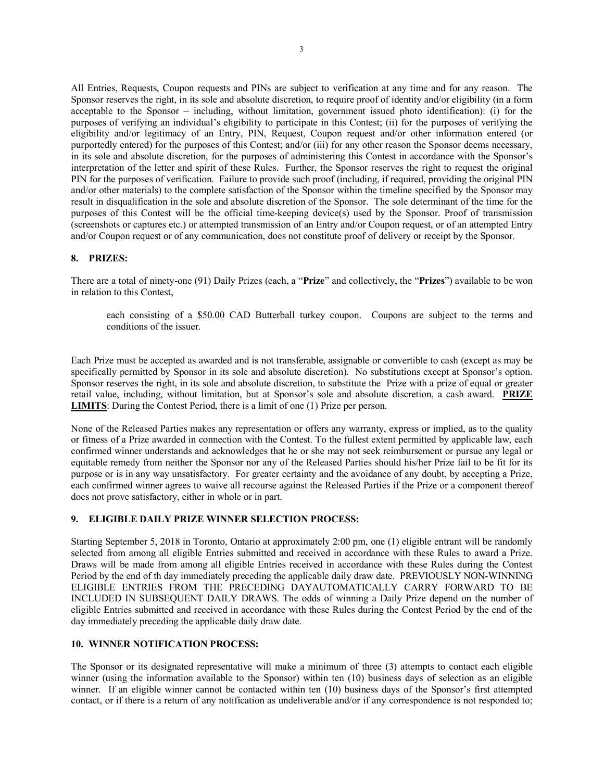All Entries, Requests, Coupon requests and PINs are subject to verification at any time and for any reason. The Sponsor reserves the right, in its sole and absolute discretion, to require proof of identity and/or eligibility (in a form acceptable to the Sponsor – including, without limitation, government issued photo identification): (i) for the purposes of verifying an individual's eligibility to participate in this Contest; (ii) for the purposes of verifying the eligibility and/or legitimacy of an Entry, PIN, Request, Coupon request and/or other information entered (or purportedly entered) for the purposes of this Contest; and/or (iii) for any other reason the Sponsor deems necessary, in its sole and absolute discretion, for the purposes of administering this Contest in accordance with the Sponsor's interpretation of the letter and spirit of these Rules. Further, the Sponsor reserves the right to request the original PIN for the purposes of verification. Failure to provide such proof (including, if required, providing the original PIN and/or other materials) to the complete satisfaction of the Sponsor within the timeline specified by the Sponsor may result in disqualification in the sole and absolute discretion of the Sponsor. The sole determinant of the time for the purposes of this Contest will be the official time-keeping device(s) used by the Sponsor. Proof of transmission (screenshots or captures etc.) or attempted transmission of an Entry and/or Coupon request, or of an attempted Entry and/or Coupon request or of any communication, does not constitute proof of delivery or receipt by the Sponsor.

## **8. PRIZES:**

There are a total of ninety-one (91) Daily Prizes (each, a "**Prize**" and collectively, the "**Prizes**") available to be won in relation to this Contest,

each consisting of a \$50.00 CAD Butterball turkey coupon. Coupons are subject to the terms and conditions of the issuer.

Each Prize must be accepted as awarded and is not transferable, assignable or convertible to cash (except as may be specifically permitted by Sponsor in its sole and absolute discretion). No substitutions except at Sponsor's option. Sponsor reserves the right, in its sole and absolute discretion, to substitute the Prize with a prize of equal or greater retail value, including, without limitation, but at Sponsor's sole and absolute discretion, a cash award. **PRIZE LIMITS**: During the Contest Period, there is a limit of one (1) Prize per person.

None of the Released Parties makes any representation or offers any warranty, express or implied, as to the quality or fitness of a Prize awarded in connection with the Contest. To the fullest extent permitted by applicable law, each confirmed winner understands and acknowledges that he or she may not seek reimbursement or pursue any legal or equitable remedy from neither the Sponsor nor any of the Released Parties should his/her Prize fail to be fit for its purpose or is in any way unsatisfactory. For greater certainty and the avoidance of any doubt, by accepting a Prize, each confirmed winner agrees to waive all recourse against the Released Parties if the Prize or a component thereof does not prove satisfactory, either in whole or in part.

## **9. ELIGIBLE DAILY PRIZE WINNER SELECTION PROCESS:**

Starting September 5, 2018 in Toronto, Ontario at approximately 2:00 pm, one (1) eligible entrant will be randomly selected from among all eligible Entries submitted and received in accordance with these Rules to award a Prize. Draws will be made from among all eligible Entries received in accordance with these Rules during the Contest Period by the end of th day immediately preceding the applicable daily draw date. PREVIOUSLY NON-WINNING ELIGIBLE ENTRIES FROM THE PRECEDING DAYAUTOMATICALLY CARRY FORWARD TO BE INCLUDED IN SUBSEQUENT DAILY DRAWS. The odds of winning a Daily Prize depend on the number of eligible Entries submitted and received in accordance with these Rules during the Contest Period by the end of the day immediately preceding the applicable daily draw date.

## **10. WINNER NOTIFICATION PROCESS:**

The Sponsor or its designated representative will make a minimum of three (3) attempts to contact each eligible winner (using the information available to the Sponsor) within ten (10) business days of selection as an eligible winner. If an eligible winner cannot be contacted within ten (10) business days of the Sponsor's first attempted contact, or if there is a return of any notification as undeliverable and/or if any correspondence is not responded to;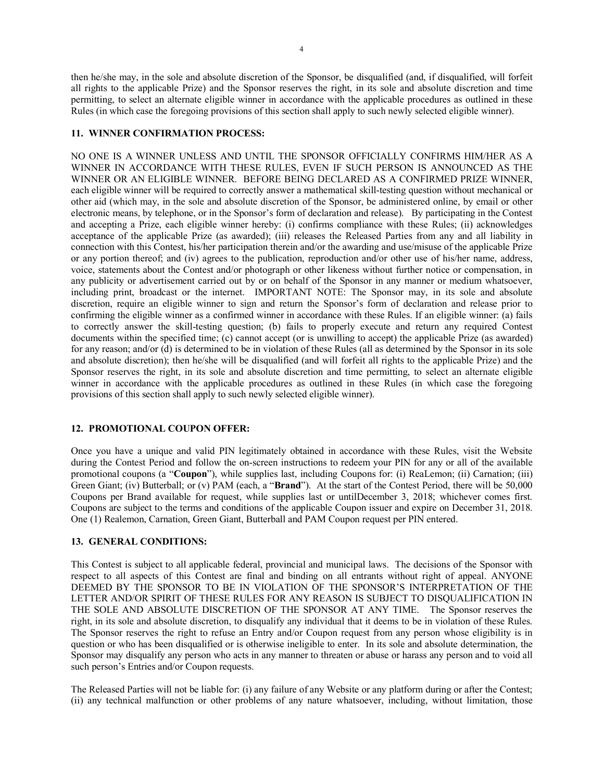then he/she may, in the sole and absolute discretion of the Sponsor, be disqualified (and, if disqualified, will forfeit all rights to the applicable Prize) and the Sponsor reserves the right, in its sole and absolute discretion and time permitting, to select an alternate eligible winner in accordance with the applicable procedures as outlined in these Rules (in which case the foregoing provisions of this section shall apply to such newly selected eligible winner).

#### **11. WINNER CONFIRMATION PROCESS:**

NO ONE IS A WINNER UNLESS AND UNTIL THE SPONSOR OFFICIALLY CONFIRMS HIM/HER AS A WINNER IN ACCORDANCE WITH THESE RULES, EVEN IF SUCH PERSON IS ANNOUNCED AS THE WINNER OR AN ELIGIBLE WINNER. BEFORE BEING DECLARED AS A CONFIRMED PRIZE WINNER, each eligible winner will be required to correctly answer a mathematical skill-testing question without mechanical or other aid (which may, in the sole and absolute discretion of the Sponsor, be administered online, by email or other electronic means, by telephone, or in the Sponsor's form of declaration and release). By participating in the Contest and accepting a Prize, each eligible winner hereby: (i) confirms compliance with these Rules; (ii) acknowledges acceptance of the applicable Prize (as awarded); (iii) releases the Released Parties from any and all liability in connection with this Contest, his/her participation therein and/or the awarding and use/misuse of the applicable Prize or any portion thereof; and (iv) agrees to the publication, reproduction and/or other use of his/her name, address, voice, statements about the Contest and/or photograph or other likeness without further notice or compensation, in any publicity or advertisement carried out by or on behalf of the Sponsor in any manner or medium whatsoever, including print, broadcast or the internet. IMPORTANT NOTE: The Sponsor may, in its sole and absolute discretion, require an eligible winner to sign and return the Sponsor's form of declaration and release prior to confirming the eligible winner as a confirmed winner in accordance with these Rules. If an eligible winner: (a) fails to correctly answer the skill-testing question; (b) fails to properly execute and return any required Contest documents within the specified time; (c) cannot accept (or is unwilling to accept) the applicable Prize (as awarded) for any reason; and/or (d) is determined to be in violation of these Rules (all as determined by the Sponsor in its sole and absolute discretion); then he/she will be disqualified (and will forfeit all rights to the applicable Prize) and the Sponsor reserves the right, in its sole and absolute discretion and time permitting, to select an alternate eligible winner in accordance with the applicable procedures as outlined in these Rules (in which case the foregoing provisions of this section shall apply to such newly selected eligible winner).

# **12. PROMOTIONAL COUPON OFFER:**

Once you have a unique and valid PIN legitimately obtained in accordance with these Rules, visit the Website during the Contest Period and follow the on-screen instructions to redeem your PIN for any or all of the available promotional coupons (a "**Coupon**"), while supplies last, including Coupons for: (i) ReaLemon; (ii) Carnation; (iii) Green Giant; (iv) Butterball; or (v) PAM (each, a "**Brand**"). At the start of the Contest Period, there will be 50,000 Coupons per Brand available for request, while supplies last or untilDecember 3, 2018; whichever comes first. Coupons are subject to the terms and conditions of the applicable Coupon issuer and expire on December 31, 2018. One (1) Realemon, Carnation, Green Giant, Butterball and PAM Coupon request per PIN entered.

#### **13. GENERAL CONDITIONS:**

This Contest is subject to all applicable federal, provincial and municipal laws. The decisions of the Sponsor with respect to all aspects of this Contest are final and binding on all entrants without right of appeal. ANYONE DEEMED BY THE SPONSOR TO BE IN VIOLATION OF THE SPONSOR'S INTERPRETATION OF THE LETTER AND/OR SPIRIT OF THESE RULES FOR ANY REASON IS SUBJECT TO DISQUALIFICATION IN THE SOLE AND ABSOLUTE DISCRETION OF THE SPONSOR AT ANY TIME. The Sponsor reserves the right, in its sole and absolute discretion, to disqualify any individual that it deems to be in violation of these Rules. The Sponsor reserves the right to refuse an Entry and/or Coupon request from any person whose eligibility is in question or who has been disqualified or is otherwise ineligible to enter. In its sole and absolute determination, the Sponsor may disqualify any person who acts in any manner to threaten or abuse or harass any person and to void all such person's Entries and/or Coupon requests.

The Released Parties will not be liable for: (i) any failure of any Website or any platform during or after the Contest; (ii) any technical malfunction or other problems of any nature whatsoever, including, without limitation, those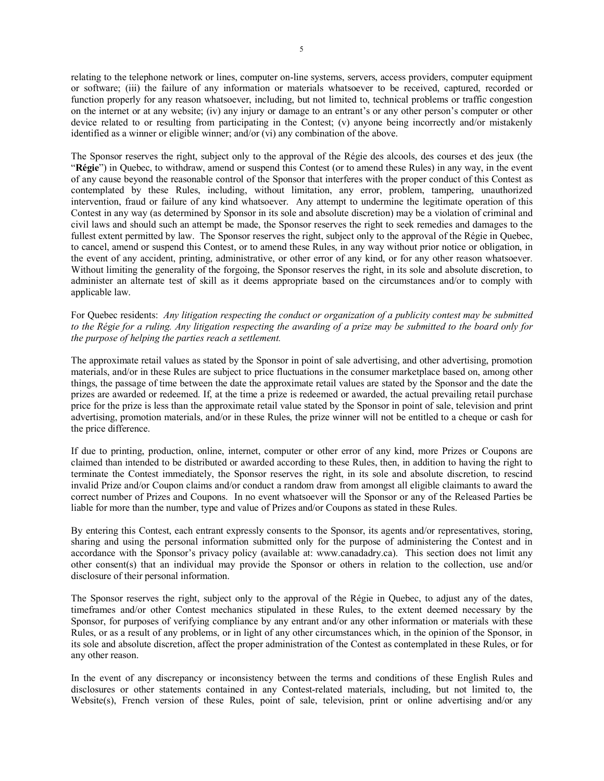relating to the telephone network or lines, computer on-line systems, servers, access providers, computer equipment or software; (iii) the failure of any information or materials whatsoever to be received, captured, recorded or function properly for any reason whatsoever, including, but not limited to, technical problems or traffic congestion on the internet or at any website; (iv) any injury or damage to an entrant's or any other person's computer or other device related to or resulting from participating in the Contest; (v) anyone being incorrectly and/or mistakenly identified as a winner or eligible winner; and/or (vi) any combination of the above.

The Sponsor reserves the right, subject only to the approval of the Régie des alcools, des courses et des jeux (the "**Régie**") in Quebec, to withdraw, amend or suspend this Contest (or to amend these Rules) in any way, in the event of any cause beyond the reasonable control of the Sponsor that interferes with the proper conduct of this Contest as contemplated by these Rules, including, without limitation, any error, problem, tampering, unauthorized intervention, fraud or failure of any kind whatsoever. Any attempt to undermine the legitimate operation of this Contest in any way (as determined by Sponsor in its sole and absolute discretion) may be a violation of criminal and civil laws and should such an attempt be made, the Sponsor reserves the right to seek remedies and damages to the fullest extent permitted by law. The Sponsor reserves the right, subject only to the approval of the Régie in Quebec, to cancel, amend or suspend this Contest, or to amend these Rules, in any way without prior notice or obligation, in the event of any accident, printing, administrative, or other error of any kind, or for any other reason whatsoever. Without limiting the generality of the forgoing, the Sponsor reserves the right, in its sole and absolute discretion, to administer an alternate test of skill as it deems appropriate based on the circumstances and/or to comply with applicable law.

For Quebec residents: *Any litigation respecting the conduct or organization of a publicity contest may be submitted to the Régie for a ruling. Any litigation respecting the awarding of a prize may be submitted to the board only for the purpose of helping the parties reach a settlement.*

The approximate retail values as stated by the Sponsor in point of sale advertising, and other advertising, promotion materials, and/or in these Rules are subject to price fluctuations in the consumer marketplace based on, among other things, the passage of time between the date the approximate retail values are stated by the Sponsor and the date the prizes are awarded or redeemed. If, at the time a prize is redeemed or awarded, the actual prevailing retail purchase price for the prize is less than the approximate retail value stated by the Sponsor in point of sale, television and print advertising, promotion materials, and/or in these Rules, the prize winner will not be entitled to a cheque or cash for the price difference.

If due to printing, production, online, internet, computer or other error of any kind, more Prizes or Coupons are claimed than intended to be distributed or awarded according to these Rules, then, in addition to having the right to terminate the Contest immediately, the Sponsor reserves the right, in its sole and absolute discretion, to rescind invalid Prize and/or Coupon claims and/or conduct a random draw from amongst all eligible claimants to award the correct number of Prizes and Coupons. In no event whatsoever will the Sponsor or any of the Released Parties be liable for more than the number, type and value of Prizes and/or Coupons as stated in these Rules.

By entering this Contest, each entrant expressly consents to the Sponsor, its agents and/or representatives, storing, sharing and using the personal information submitted only for the purpose of administering the Contest and in accordance with the Sponsor's privacy policy (available at: www.canadadry.ca). This section does not limit any other consent(s) that an individual may provide the Sponsor or others in relation to the collection, use and/or disclosure of their personal information.

The Sponsor reserves the right, subject only to the approval of the Régie in Quebec, to adjust any of the dates, timeframes and/or other Contest mechanics stipulated in these Rules, to the extent deemed necessary by the Sponsor, for purposes of verifying compliance by any entrant and/or any other information or materials with these Rules, or as a result of any problems, or in light of any other circumstances which, in the opinion of the Sponsor, in its sole and absolute discretion, affect the proper administration of the Contest as contemplated in these Rules, or for any other reason.

In the event of any discrepancy or inconsistency between the terms and conditions of these English Rules and disclosures or other statements contained in any Contest-related materials, including, but not limited to, the Website(s), French version of these Rules, point of sale, television, print or online advertising and/or any